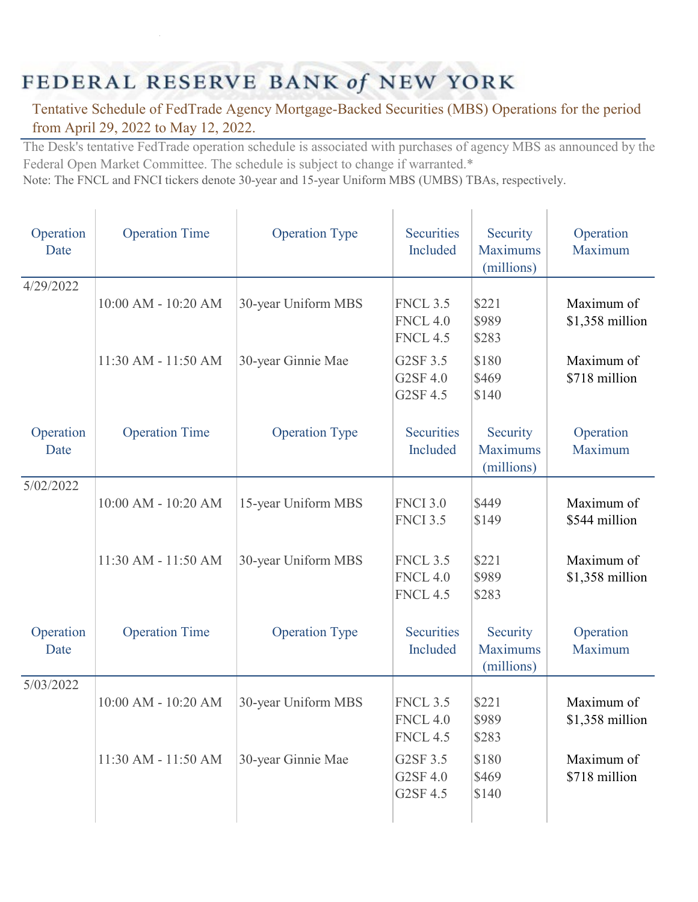## FEDERAL RESERVE BANK of NEW YORK

 $\mathbf{L}$ 

 $\mathbf{r}$ 

## Tentative Schedule of FedTrade Agency Mortgage-Backed Securities (MBS) Operations for the period from April 29, 2022 to May 12, 2022.

The Desk's tentative FedTrade operation schedule is associated with purchases of agency MBS as announced by the Federal Open Market Committee. The schedule is subject to change if warranted.\*

 $\mathbb{L}$ 

 $\mathbb{L}$ 

 $\mathbb{L}$ 

Note: The FNCL and FNCI tickers denote 30-year and 15-year Uniform MBS (UMBS) TBAs, respectively.

| Operation<br>Date | <b>Operation Time</b>   | <b>Operation Type</b> | Securities<br>Included                                | Security<br><b>Maximums</b><br>(millions) | Operation<br>Maximum           |
|-------------------|-------------------------|-----------------------|-------------------------------------------------------|-------------------------------------------|--------------------------------|
| 4/29/2022         | 10:00 AM - 10:20 AM     | 30-year Uniform MBS   | <b>FNCL 3.5</b><br><b>FNCL 4.0</b><br><b>FNCL 4.5</b> | \$221<br>\$989<br>\$283                   | Maximum of<br>\$1,358 million  |
|                   | 11:30 AM - 11:50 AM     | 30-year Ginnie Mae    | G2SF 3.5<br>G2SF 4.0<br>G2SF 4.5                      | \$180<br>\$469<br>\$140                   | Maximum of<br>\$718 million    |
| Operation<br>Date | <b>Operation Time</b>   | <b>Operation Type</b> | <b>Securities</b><br>Included                         | Security<br><b>Maximums</b><br>(millions) | Operation<br>Maximum           |
| 5/02/2022         | 10:00 AM - 10:20 AM     | 15-year Uniform MBS   | <b>FNCI 3.0</b><br><b>FNCI 3.5</b>                    | \$449<br>\$149                            | Maximum of<br>\$544 million    |
|                   | 11:30 AM - 11:50 AM     | 30-year Uniform MBS   | <b>FNCL 3.5</b><br><b>FNCL 4.0</b><br><b>FNCL 4.5</b> | \$221<br>\$989<br>\$283                   | Maximum of<br>\$1,358 million  |
| Operation<br>Date | <b>Operation Time</b>   | <b>Operation Type</b> | <b>Securities</b><br>Included                         | Security<br><b>Maximums</b><br>(millions) | Operation<br>Maximum           |
| 5/03/2022         | $10:00$ AM - $10:20$ AM | 30-year Uniform MBS   | <b>FNCL 3.5</b><br><b>FNCL 4.0</b><br><b>FNCL 4.5</b> | \$221<br>\$989<br>\$283                   | Maximum of<br>$$1,358$ million |
|                   | 11:30 AM - 11:50 AM     | 30-year Ginnie Mae    | G2SF 3.5<br>G2SF 4.0<br>G2SF 4.5                      | \$180<br>\$469<br>\$140                   | Maximum of<br>\$718 million    |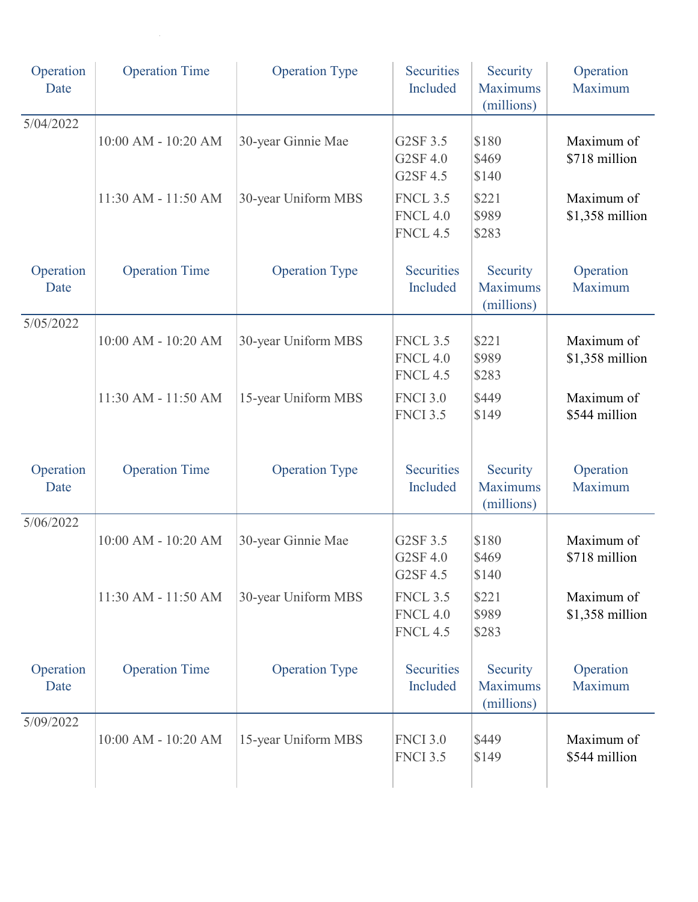| Operation<br>Date | <b>Operation Time</b> | <b>Operation Type</b> | <b>Securities</b><br>Included                         | Security<br><b>Maximums</b><br>(millions) | Operation<br>Maximum          |
|-------------------|-----------------------|-----------------------|-------------------------------------------------------|-------------------------------------------|-------------------------------|
| 5/04/2022         | 10:00 AM - 10:20 AM   | 30-year Ginnie Mae    | G2SF 3.5<br>G2SF 4.0<br>G2SF 4.5                      | \$180<br>\$469<br>\$140                   | Maximum of<br>\$718 million   |
|                   | 11:30 AM - 11:50 AM   | 30-year Uniform MBS   | <b>FNCL 3.5</b><br><b>FNCL 4.0</b><br><b>FNCL 4.5</b> | \$221<br>\$989<br>\$283                   | Maximum of<br>\$1,358 million |
| Operation<br>Date | <b>Operation Time</b> | <b>Operation Type</b> | Securities<br>Included                                | Security<br><b>Maximums</b><br>(millions) | Operation<br>Maximum          |
| 5/05/2022         | 10:00 AM - 10:20 AM   | 30-year Uniform MBS   | <b>FNCL 3.5</b><br><b>FNCL 4.0</b><br><b>FNCL 4.5</b> | \$221<br>\$989<br>\$283                   | Maximum of<br>\$1,358 million |
|                   | 11:30 AM - 11:50 AM   | 15-year Uniform MBS   | <b>FNCI 3.0</b><br><b>FNCI 3.5</b>                    | \$449<br>\$149                            | Maximum of<br>\$544 million   |
| Operation<br>Date | <b>Operation Time</b> | <b>Operation Type</b> | <b>Securities</b><br>Included                         | Security<br><b>Maximums</b><br>(millions) | Operation<br>Maximum          |
| 5/06/2022         | 10:00 AM - 10:20 AM   | 30-year Ginnie Mae    | G2SF 3.5<br>G2SF 4.0<br>G2SF 4.5                      | \$180<br>\$469<br>\$140                   | Maximum of<br>\$718 million   |
|                   | 11:30 AM - 11:50 AM   | 30-year Uniform MBS   | <b>FNCL 3.5</b><br><b>FNCL 4.0</b><br><b>FNCL 4.5</b> | \$221<br>\$989<br>\$283                   | Maximum of<br>\$1,358 million |
| Operation<br>Date | <b>Operation Time</b> | <b>Operation Type</b> | Securities<br>Included                                | Security<br><b>Maximums</b><br>(millions) | Operation<br>Maximum          |
| 5/09/2022         | 10:00 AM - 10:20 AM   | 15-year Uniform MBS   | <b>FNCI 3.0</b><br><b>FNCI 3.5</b>                    | \$449<br>\$149                            | Maximum of<br>\$544 million   |